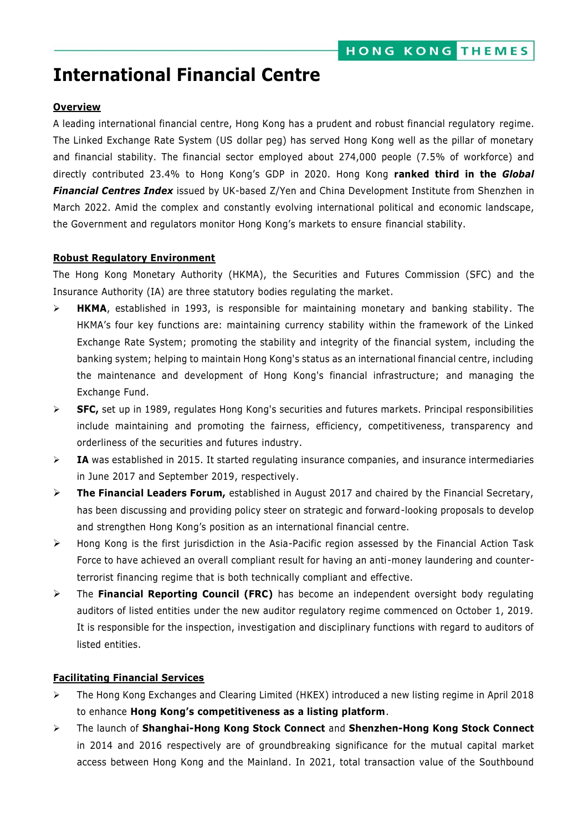# **International Financial Centre**

## **Overview**

A leading international financial centre, Hong Kong has a prudent and robust financial regulatory regime. The Linked Exchange Rate System (US dollar peg) has served Hong Kong well as the pillar of monetary and financial stability. The financial sector employed about 274,000 people (7.5% of workforce) and directly contributed 23.4% to Hong Kong's GDP in 2020. Hong Kong **ranked third in the** *Global Financial Centres Index* issued by UK-based Z/Yen and China Development Institute from Shenzhen in March 2022. Amid the complex and constantly evolving international political and economic landscape, the Government and regulators monitor Hong Kong's markets to ensure financial stability.

#### **Robust Regulatory Environment**

The Hong Kong Monetary Authority (HKMA), the Securities and Futures Commission (SFC) and the Insurance Authority (IA) are three statutory bodies regulating the market.

- **HKMA**, established in 1993, is responsible for maintaining monetary and banking stability. The HKMA's four key functions are: maintaining currency stability within the framework of the Linked Exchange Rate System; promoting the stability and integrity of the financial system, including the banking system; helping to maintain Hong Kong's status as an international financial centre, including the maintenance and development of Hong Kong's financial infrastructure; and managing the Exchange Fund.
- **SFC,** set up in 1989, regulates Hong Kong's securities and futures markets. Principal responsibilities include maintaining and promoting the fairness, efficiency, competitiveness, transparency and orderliness of the securities and futures industry.
- **IA** was established in 2015. It started regulating insurance companies, and insurance intermediaries in June 2017 and September 2019, respectively.
- **The Financial Leaders Forum,** established in August 2017 and chaired by the Financial Secretary, has been discussing and providing policy steer on strategic and forward-looking proposals to develop and strengthen Hong Kong's position as an international financial centre.
- Hong Kong is the first jurisdiction in the Asia-Pacific region assessed by the Financial Action Task Force to have achieved an overall compliant result for having an anti-money laundering and counterterrorist financing regime that is both technically compliant and effective.
- The **Financial Reporting Council (FRC)** has become an independent oversight body regulating auditors of listed entities under the new auditor regulatory regime commenced on October 1, 2019. It is responsible for the inspection, investigation and disciplinary functions with regard to auditors of listed entities.

#### **Facilitating Financial Services**

- The Hong Kong Exchanges and Clearing Limited (HKEX) introduced a new listing regime in April 2018 to enhance **Hong Kong's competitiveness as a listing platform**.
- The launch of **Shanghai-Hong Kong Stock Connect** and **Shenzhen-Hong Kong Stock Connect**  in 2014 and 2016 respectively are of groundbreaking significance for the mutual capital market access between Hong Kong and the Mainland. In 2021, total transaction value of the Southbound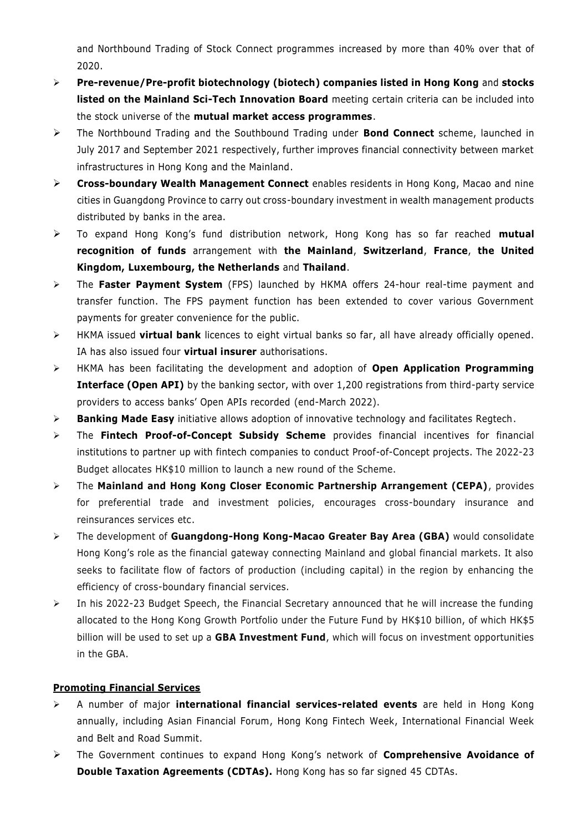and Northbound Trading of Stock Connect programmes increased by more than 40% over that of 2020.

- **Pre-revenue/Pre-profit biotechnology (biotech) companies listed in Hong Kong** and **stocks listed on the Mainland Sci-Tech Innovation Board** meeting certain criteria can be included into the stock universe of the **mutual market access programmes**.
- The Northbound Trading and the Southbound Trading under **Bond Connect** scheme, launched in July 2017 and September 2021 respectively, further improves financial connectivity between market infrastructures in Hong Kong and the Mainland.
- **Cross-boundary Wealth Management Connect** enables residents in Hong Kong, Macao and nine cities in Guangdong Province to carry out cross-boundary investment in wealth management products distributed by banks in the area.
- To expand Hong Kong's fund distribution network, Hong Kong has so far reached **mutual recognition of funds** arrangement with **the Mainland**, **Switzerland**, **France**, **the United Kingdom, Luxembourg, the Netherlands** and **Thailand**.
- The **Faster Payment System** (FPS) launched by HKMA offers 24-hour real-time payment and transfer function. The FPS payment function has been extended to cover various Government payments for greater convenience for the public.
- HKMA issued **virtual bank** licences to eight virtual banks so far, all have already officially opened. IA has also issued four **virtual insurer** authorisations.
- HKMA has been facilitating the development and adoption of **Open Application Programming Interface (Open API)** by the banking sector, with over 1,200 registrations from third-party service providers to access banks' Open APIs recorded (end-March 2022).
- **Banking Made Easy** initiative allows adoption of innovative technology and facilitates Regtech.
- The **Fintech Proof-of-Concept Subsidy Scheme** provides financial incentives for financial institutions to partner up with fintech companies to conduct Proof-of-Concept projects. The 2022-23 Budget allocates HK\$10 million to launch a new round of the Scheme.
- The **Mainland and Hong Kong Closer Economic Partnership Arrangement (CEPA)**, provides for preferential trade and investment policies, encourages cross-boundary insurance and reinsurances services etc.
- The development of **Guangdong-Hong Kong-Macao Greater Bay Area (GBA)** would consolidate Hong Kong's role as the financial gateway connecting Mainland and global financial markets. It also seeks to facilitate flow of factors of production (including capital) in the region by enhancing the efficiency of cross-boundary financial services.
- $\triangleright$  In his 2022-23 Budget Speech, the Financial Secretary announced that he will increase the funding allocated to the Hong Kong Growth Portfolio under the Future Fund by HK\$10 billion, of which HK\$5 billion will be used to set up a **GBA Investment Fund**, which will focus on investment opportunities in the GBA.

# **Promoting Financial Services**

- A number of major **international financial services-related events** are held in Hong Kong annually, including Asian Financial Forum, Hong Kong Fintech Week, International Financial Week and Belt and Road Summit.
- The Government continues to expand Hong Kong's network of **Comprehensive Avoidance of Double Taxation Agreements (CDTAs).** Hong Kong has so far signed 45 CDTAs.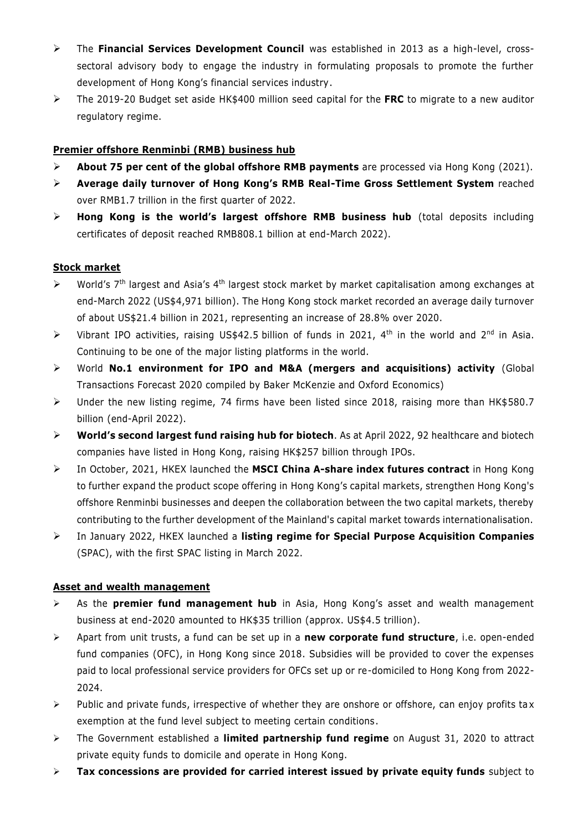- The **Financial Services Development Council** was established in 2013 as a high-level, crosssectoral advisory body to engage the industry in formulating proposals to promote the further development of Hong Kong's financial services industry.
- The 2019-20 Budget set aside HK\$400 million seed capital for the **FRC** to migrate to a new auditor regulatory regime.

## **Premier offshore Renminbi (RMB) business hub**

- **About 75 per cent of the global offshore RMB payments** are processed via Hong Kong (2021).
- **Average daily turnover of Hong Kong's RMB Real-Time Gross Settlement System** reached over RMB1.7 trillion in the first quarter of 2022.
- **Hong Kong is the world's largest offshore RMB business hub** (total deposits including certificates of deposit reached RMB808.1 billion at end-March 2022).

#### **Stock market**

- $\triangleright$  World's 7<sup>th</sup> largest and Asia's 4<sup>th</sup> largest stock market by market capitalisation among exchanges at end-March 2022 (US\$4,971 billion). The Hong Kong stock market recorded an average daily turnover of about US\$21.4 billion in 2021, representing an increase of 28.8% over 2020.
- $\triangleright$  Vibrant IPO activities, raising US\$42.5 billion of funds in 2021, 4<sup>th</sup> in the world and 2<sup>nd</sup> in Asia. Continuing to be one of the major listing platforms in the world.
- World **No.1 environment for IPO and M&A (mergers and acquisitions) activity** (Global Transactions Forecast 2020 compiled by Baker McKenzie and Oxford Economics)
- Under the new listing regime, 74 firms have been listed since 2018, raising more than HK\$580.7 billion (end-April 2022).
- **World's second largest fund raising hub for biotech**. As at April 2022, 92 healthcare and biotech companies have listed in Hong Kong, raising HK\$257 billion through IPOs.
- In October, 2021, HKEX launched the **MSCI China A-share index futures contract** in Hong Kong to further expand the product scope offering in Hong Kong's capital markets, strengthen Hong Kong's offshore Renminbi businesses and deepen the collaboration between the two capital markets, thereby contributing to the further development of the Mainland's capital market towards internationalisation.
- In January 2022, HKEX launched a **listing regime for Special Purpose Acquisition Companies** (SPAC), with the first SPAC listing in March 2022.

# **Asset and wealth management**

- As the **premier fund management hub** in Asia, Hong Kong's asset and wealth management business at end-2020 amounted to HK\$35 trillion (approx. US\$4.5 trillion).
- Apart from unit trusts, a fund can be set up in a **new corporate fund structure**, i.e. open-ended fund companies (OFC), in Hong Kong since 2018. Subsidies will be provided to cover the expenses paid to local professional service providers for OFCs set up or re-domiciled to Hong Kong from 2022- 2024.
- $\triangleright$  Public and private funds, irrespective of whether they are onshore or offshore, can enjoy profits tax exemption at the fund level subject to meeting certain conditions.
- The Government established a **limited partnership fund regime** on August 31, 2020 to attract private equity funds to domicile and operate in Hong Kong.
- **Tax concessions are provided for carried interest issued by private equity funds** subject to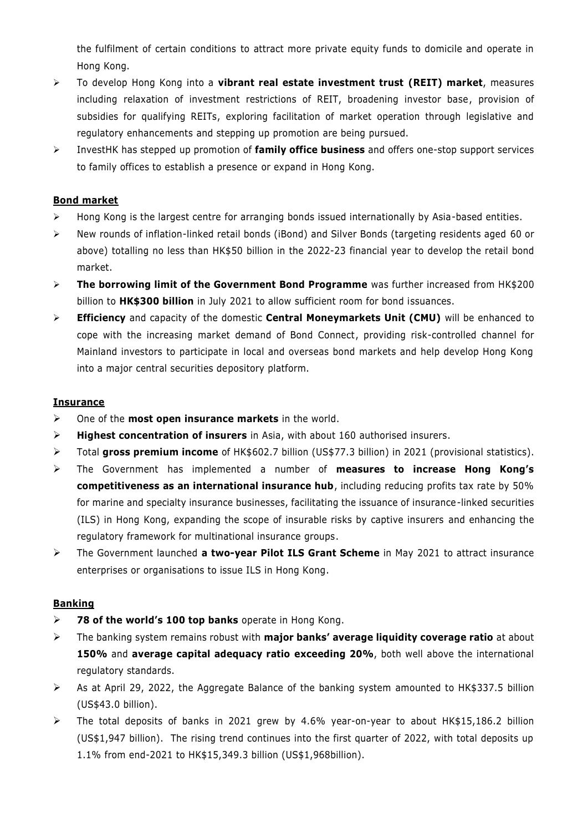the fulfilment of certain conditions to attract more private equity funds to domicile and operate in Hong Kong.

- To develop Hong Kong into a **vibrant real estate investment trust (REIT) market**, measures including relaxation of investment restrictions of REIT, broadening investor base, provision of subsidies for qualifying REITs, exploring facilitation of market operation through legislative and regulatory enhancements and stepping up promotion are being pursued.
- InvestHK has stepped up promotion of **family office business** and offers one-stop support services to family offices to establish a presence or expand in Hong Kong.

## **Bond market**

- $\triangleright$  Hong Kong is the largest centre for arranging bonds issued internationally by Asia-based entities.
- New rounds of inflation-linked retail bonds (iBond) and Silver Bonds (targeting residents aged 60 or above) totalling no less than HK\$50 billion in the 2022-23 financial year to develop the retail bond market.
- **The borrowing limit of the Government Bond Programme** was further increased from HK\$200 billion to **HK\$300 billion** in July 2021 to allow sufficient room for bond issuances.
- **Efficiency** and capacity of the domestic **Central Moneymarkets Unit (CMU)** will be enhanced to cope with the increasing market demand of Bond Connect, providing risk-controlled channel for Mainland investors to participate in local and overseas bond markets and help develop Hong Kong into a major central securities depository platform.

#### **Insurance**

- One of the **most open insurance markets** in the world.
- **Highest concentration of insurers** in Asia, with about 160 authorised insurers.
- Total **gross premium income** of HK\$602.7 billion (US\$77.3 billion) in 2021 (provisional statistics).
- The Government has implemented a number of **measures to increase Hong Kong's competitiveness as an international insurance hub**, including reducing profits tax rate by 50% for marine and specialty insurance businesses, facilitating the issuance of insurance-linked securities (ILS) in Hong Kong, expanding the scope of insurable risks by captive insurers and enhancing the regulatory framework for multinational insurance groups.
- The Government launched **a two-year Pilot ILS Grant Scheme** in May 2021 to attract insurance enterprises or organisations to issue ILS in Hong Kong.

#### **Banking**

- **78 of the world's 100 top banks** operate in Hong Kong.
- The banking system remains robust with **major banks' average liquidity coverage ratio** at about **150%** and **average capital adequacy ratio exceeding 20%**, both well above the international regulatory standards.
- $\triangleright$  As at April 29, 2022, the Aggregate Balance of the banking system amounted to HK\$337.5 billion (US\$43.0 billion).
- $\triangleright$  The total deposits of banks in 2021 grew by 4.6% year-on-year to about HK\$15,186.2 billion (US\$1,947 billion). The rising trend continues into the first quarter of 2022, with total deposits up 1.1% from end-2021 to HK\$15,349.3 billion (US\$1,968billion).